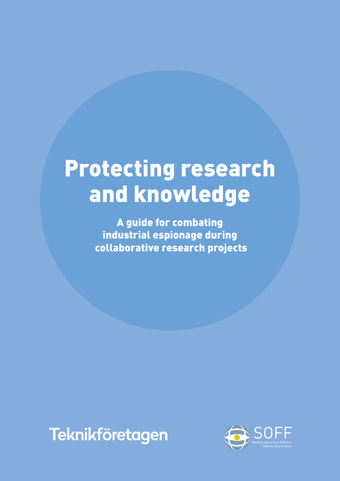# Protecting research and knowledge

A guide for combating industrial espionage during collaborative research projects



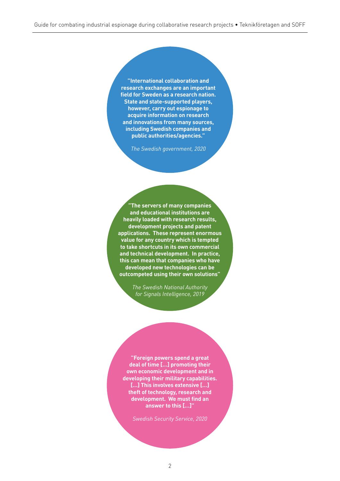**"International collaboration and research exchanges are an important field for Sweden as a research nation. State and state-supported players, however, carry out espionage to acquire information on research and innovations from many sources, including Swedish companies and public authorities/agencies."**

*The Swedish government, 2020*

**"The servers of many companies and educational institutions are heavily loaded with research results, development projects and patent applications. These represent enormous value for any country which is tempted to take shortcuts in its own commercial and technical development. In practice, this can mean that companies who have developed new technologies can be outcompeted using their own solutions"**

> *The Swedish National Authority for Signals Intelligence, 2019*

**"Foreign powers spend a great deal of time […] promoting their own economic development and in developing their military capabilities. […] This involves extensive […] theft of technology, research and development. We must find an answer to this […]"** 

*Swedish Security Service, 2020*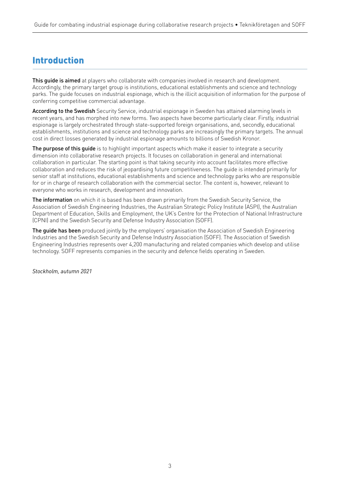## Introduction

This guide is aimed at players who collaborate with companies involved in research and development. Accordingly, the primary target group is institutions, educational establishments and science and technology parks. The guide focuses on industrial espionage, which is the illicit acquisition of information for the purpose of conferring competitive commercial advantage.

According to the Swedish Security Service, industrial espionage in Sweden has attained alarming levels in recent years, and has morphed into new forms. Two aspects have become particularly clear. Firstly, industrial espionage is largely orchestrated through state-supported foreign organisations, and, secondly, educational establishments, institutions and science and technology parks are increasingly the primary targets. The annual cost in direct losses generated by industrial espionage amounts to billions of Swedish Kronor.

The purpose of this quide is to highlight important aspects which make it easier to integrate a security dimension into collaborative research projects. It focuses on collaboration in general and international collaboration in particular. The starting point is that taking security into account facilitates more effective collaboration and reduces the risk of jeopardising future competitiveness. The guide is intended primarily for senior staff at institutions, educational establishments and science and technology parks who are responsible for or in charge of research collaboration with the commercial sector. The content is, however, relevant to everyone who works in research, development and innovation.

The information on which it is based has been drawn primarily from the Swedish Security Service, the Association of Swedish Engineering Industries, the Australian Strategic Policy Institute (ASPI), the Australian Department of Education, Skills and Employment, the UK's Centre for the Protection of National Infrastructure (CPNI) and the Swedish Security and Defense Industry Association (SOFF).

The quide has been produced jointly by the employers' organisation the Association of Swedish Engineering Industries and the Swedish Security and Defense Industry Association (SOFF). The Association of Swedish Engineering Industries represents over 4,200 manufacturing and related companies which develop and utilise technology. SOFF represents companies in the security and defence fields operating in Sweden.

*Stockholm, autumn 2021*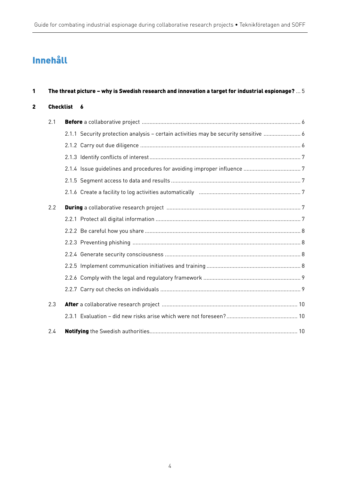## Innehåll

| 1<br>$\mathbf{2}$ | The threat picture – why is Swedish research and innovation a target for industrial espionage? $\dots$ $5$ |  |                                                                                      |  |
|-------------------|------------------------------------------------------------------------------------------------------------|--|--------------------------------------------------------------------------------------|--|
|                   | Checklist 6                                                                                                |  |                                                                                      |  |
|                   | 2.1                                                                                                        |  |                                                                                      |  |
|                   |                                                                                                            |  | 2.1.1 Security protection analysis - certain activities may be security sensitive  6 |  |
|                   |                                                                                                            |  |                                                                                      |  |
|                   |                                                                                                            |  |                                                                                      |  |
|                   |                                                                                                            |  |                                                                                      |  |
|                   |                                                                                                            |  |                                                                                      |  |
|                   |                                                                                                            |  |                                                                                      |  |
|                   | 2.2                                                                                                        |  |                                                                                      |  |
|                   |                                                                                                            |  |                                                                                      |  |
|                   |                                                                                                            |  |                                                                                      |  |
|                   |                                                                                                            |  |                                                                                      |  |
|                   |                                                                                                            |  |                                                                                      |  |
|                   |                                                                                                            |  |                                                                                      |  |
|                   |                                                                                                            |  |                                                                                      |  |
|                   |                                                                                                            |  |                                                                                      |  |
|                   | 2.3                                                                                                        |  |                                                                                      |  |
|                   |                                                                                                            |  |                                                                                      |  |
|                   | 2.4                                                                                                        |  |                                                                                      |  |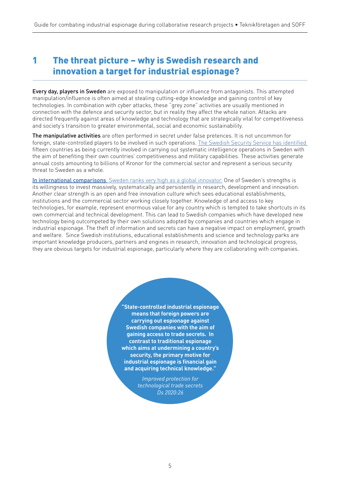## 1 The threat picture – why is Swedish research and innovation a target for industrial espionage?

Every day, players in Sweden are exposed to manipulation or influence from antagonists. This attempted manipulation/influence is often aimed at stealing cutting-edge knowledge and gaining control of key technologies. In combination with cyber attacks, these "grey zone" activities are usually mentioned in connection with the defence and security sector, but in reality they affect the whole nation. Attacks are directed frequently against areas of knowledge and technology that are strategically vital for competitiveness and society's transition to greater environmental, social and economic sustainability.

The manipulative activities are often performed in secret under false pretences. It is not uncommon for foreign, state-controlled players to be involved in such operations. The Swedish Security Service has identified fifteen countries as being currently involved in carrying out systematic intelligence operations in Sweden with the aim of benefiting their own countries' competitiveness and military capabilities. These activities generate annual costs amounting to billions of Kronor for the commercial sector and represent a serious security threat to Sweden as a whole.

In international comparisons, Sweden ranks very high as a global innovator. One of Sweden's strengths is its willingness to invest massively, systematically and persistently in research, development and innovation. Another clear strength is an open and free innovation culture which sees educational establishments, institutions and the commercial sector working closely together. Knowledge of and access to key technologies, for example, represent enormous value for any country which is tempted to take shortcuts in its own commercial and technical development. This can lead to Swedish companies which have developed new technology being outcompeted by their own solutions adopted by companies and countries which engage in industrial espionage. The theft of information and secrets can have a negative impact on employment, growth and welfare. Since Swedish institutions, educational establishments and science and technology parks are important knowledge producers, partners and engines in research, innovation and technological progress, they are obvious targets for industrial espionage, particularly where they are collaborating with companies.

> **"State-controlled industrial espionage means that foreign powers are carrying out espionage against Swedish companies with the aim of gaining access to trade secrets. In contrast to traditional espionage which aims at undermining a country's security, the primary motive for industrial espionage is financial gain and acquiring technical knowledge."**

> > *Improved protection for technological trade secrets Ds 2020:26*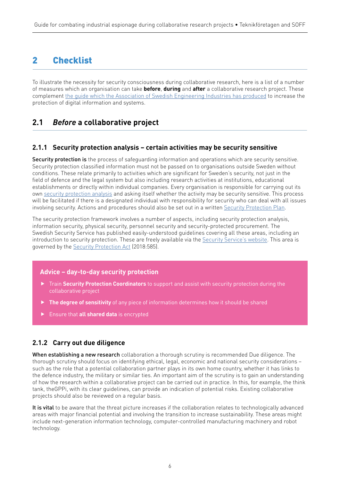## 2 Checklist

To illustrate the necessity for security consciousness during collaborative research, here is a list of a number of measures which an organisation can take **before**, **during** and **after** a collaborative research project. These complement the guide which the Association of Swedish Engineering Industries has produced to increase the protection of digital information and systems.

## **2.1** *Before* **a collaborative project**

#### **2.1.1 Security protection analysis – certain activities may be security sensitive**

Security protection is the process of safequarding information and operations which are security sensitive. Security protection classified information must not be passed on to organisations outside Sweden without conditions. These relate primarily to activities which are significant for Sweden's security, not just in the field of defence and the legal system but also including research activities at institutions, educational establishments or directly within individual companies. Every organisation is responsible for carrying out its own security protection analysis and asking itself whether the activity may be security sensitive. This process will be facilitated if there is a designated individual with responsibility for security who can deal with all issues involving security. Actions and procedures should also be set out in a written Security Protection Plan.

The security protection framework involves a number of aspects, including security protection analysis, information security, physical security, personnel security and security-protected procurement. The Swedish Security Service has published easily-understood guidelines covering all these areas, including an introduction to security protection. These are freely available via the Security Service's website. This area is governed by the Security Protection Act (2018:585).

#### **Advice – day-to-day security protection**

- Train **Security Protection Coordinators** to support and assist with security protection during the collaborative project
- **The degree of sensitivity** of any piece of information determines how it should be shared
- Ensure that **all shared data** is encrypted

#### **2.1.2 Carry out due diligence**

When establishing a new research collaboration a thorough scrutiny is recommended Due diligence. The thorough scrutiny should focus on identifying ethical, legal, economic and national security considerations – such as the role that a potential collaboration partner plays in its own home country, whether it has links to the defence industry, the military or similar ties. An important aim of the scrutiny is to gain an understanding of how the research within a collaborative project can be carried out in practice. In this, for example, the think tank, theGPPi, with its clear guidelines, can provide an indication of potential risks. Existing collaborative projects should also be reviewed on a regular basis.

It is vital to be aware that the threat picture increases if the collaboration relates to technologically advanced areas with major financial potential and involving the transition to increase sustainability. These areas might include next-generation information technology, computer-controlled manufacturing machinery and robot technology.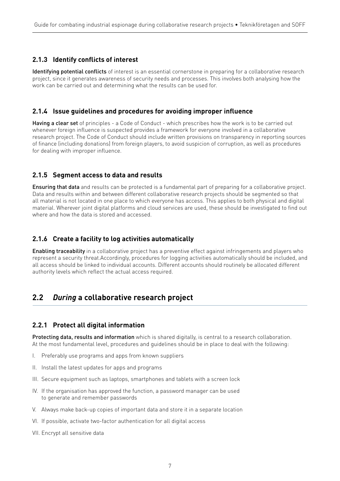#### **2.1.3 Identify conflicts of interest**

Identifying potential conflicts of interest is an essential cornerstone in preparing for a collaborative research project, since it generates awareness of security needs and processes. This involves both analysing how the work can be carried out and determining what the results can be used for.

#### **2.1.4 Issue guidelines and procedures for avoiding improper influence**

Having a clear set of principles - a Code of Conduct - which prescribes how the work is to be carried out whenever foreign influence is suspected provides a framework for everyone involved in a collaborative research project. The Code of Conduct should include written provisions on transparency in reporting sources of finance (including donations) from foreign players, to avoid suspicion of corruption, as well as procedures for dealing with improper influence.

#### **2.1.5 Segment access to data and results**

Ensuring that data and results can be protected is a fundamental part of preparing for a collaborative project. Data and results within and between different collaborative research projects should be segmented so that all material is not located in one place to which everyone has access. This applies to both physical and digital material. Wherever joint digital platforms and cloud services are used, these should be investigated to find out where and how the data is stored and accessed.

#### **2.1.6 Create a facility to log activities automatically**

Enabling traceability in a collaborative project has a preventive effect against infringements and players who represent a security threat.Accordingly, procedures for logging activities automatically should be included, and all access should be linked to individual accounts. Different accounts should routinely be allocated different authority levels which reflect the actual access required.

### **2.2** *During* **a collaborative research project**

#### **2.2.1 Protect all digital information**

Protecting data, results and information which is shared digitally, is central to a research collaboration. At the most fundamental level, procedures and guidelines should be in place to deal with the following:

- I. Preferably use programs and apps from known suppliers
- II. Install the latest updates for apps and programs
- III. Secure equipment such as laptops, smartphones and tablets with a screen lock
- IV. If the organisation has approved the function, a password manager can be used to generate and remember passwords
- V. Always make back-up copies of important data and store it in a separate location
- VI. If possible, activate two-factor authentication for all digital access
- VII. Encrypt all sensitive data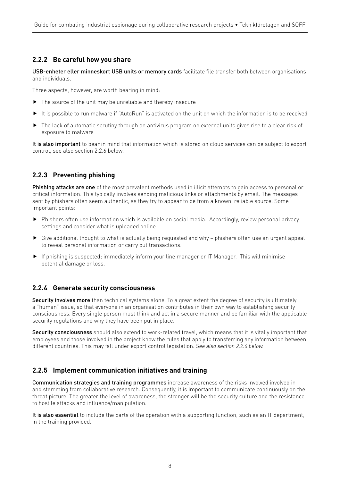#### **2.2.2 Be careful how you share**

USB-enheter eller minneskort USB units or memory cards facilitate file transfer both between organisations and individuals.

Three aspects, however, are worth bearing in mind:

- ▶ The source of the unit may be unreliable and thereby insecure
- It is possible to run malware if "AutoRun" is activated on the unit on which the information is to be received
- ▶ The lack of automatic scrutiny through an antivirus program on external units gives rise to a clear risk of exposure to malware

It is also important to bear in mind that information which is stored on cloud services can be subject to export control, see also section 2.2.6 below.

#### **2.2.3 Preventing phishing**

Phishing attacks are one of the most prevalent methods used in illicit attempts to gain access to personal or critical information. This typically involves sending malicious links or attachments by email. The messages sent by phishers often seem authentic, as they try to appear to be from a known, reliable source. Some important points:

- Phishers often use information which is available on social media. Accordingly, review personal privacy settings and consider what is uploaded online.
- $\triangleright$  Give additional thought to what is actually being requested and why phishers often use an urgent appeal to reveal personal information or carry out transactions.
- If phishing is suspected; immediately inform your line manager or IT Manager. This will minimise potential damage or loss.

#### **2.2.4 Generate security consciousness**

Security involves more than technical systems alone. To a great extent the degree of security is ultimately a "human" issue, so that everyone in an organisation contributes in their own way to establishing security consciousness. Every single person must think and act in a secure manner and be familiar with the applicable security regulations and why they have been put in place.

Security consciousness should also extend to work-related travel, which means that it is vitally important that employees and those involved in the project know the rules that apply to transferring any information between different countries. This may fall under export control legislation. *See also section 2.2.6 below.*

#### **2.2.5 Implement communication initiatives and training**

Communication strategies and training programmes increase awareness of the risks involved involved in and stemming from collaborative research. Consequently, it is important to communicate continuously on the threat picture. The greater the level of awareness, the stronger will be the security culture and the resistance to hostile attacks and influence/manipulation.

It is also essential to include the parts of the operation with a supporting function, such as an IT department, in the training provided.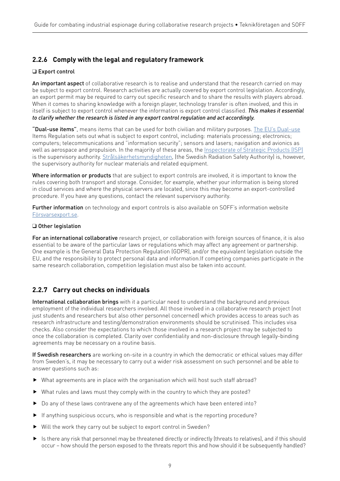#### **2.2.6 Comply with the legal and regulatory framework**

#### ❑ Export control

An important aspect of collaborative research is to realise and understand that the research carried on may be subject to export control. Research activities are actually covered by export control legislation. Accordingly, an export permit may be required to carry out specific research and to share the results with players abroad. When it comes to sharing knowledge with a foreign player, technology transfer is often involved, and this in itself is subject to export control whenever the information is export control classified. *This makes it essential to clarify whether the research is listed in any export control regulation and act accordingly.*

"Dual-use items", means items that can be used for both civilian and military purposes. The EU's Dual-use Items Regulation sets out what is subject to export control, including: materials processing; electronics; computers; telecommunications and "information security"; sensors and lasers; navigation and avionics as well as aerospace and propulsion. In the majority of these areas, the Inspectorate of Strategic Products (ISP) is the supervisory authority. Strålsäkerhetsmyndigheten, (the Swedish Radiation Safety Authority) is, however, the supervisory authority for nuclear materials and related equipment.

Where information or products that are subject to export controls are involved, it is important to know the rules covering both transport and storage. Consider, for example, whether your information is being stored in cloud services and where the physical servers are located, since this may become an export-controlled procedure. If you have any questions, contact the relevant supervisory authority.

Further information on technology and export controls is also available on SOFF's information website Försvarsexport.se.

#### ❑ Other legislation

For an international collaborative research project, or collaboration with foreign sources of finance, it is also essential to be aware of the particular laws or regulations which may affect any agreement or partnership. One example is the General Data Protection Regulation (GDPR), and/or the equivalent legislation outside the EU, and the responsibility to protect personal data and information.If competing companies participate in the same research collaboration, competition legislation must also be taken into account.

#### **2.2.7 Carry out checks on individuals**

International collaboration brings with it a particular need to understand the background and previous employment of the individual researchers involved. All those involved in a collaborative research project (not just students and researchers but also other personnel concerned) which provides access to areas such as research infrastructure and testing/demonstration environments should be scrutinised. This includes visa checks. Also consider the expectations to which those involved in a research project may be subjected to once the collaboration is completed. Clarity over confidentiality and non-disclosure through legally-binding agreements may be necessary on a routine basis.

If Swedish researchers are working on-site in a country in which the democratic or ethical values may differ from Sweden's, it may be necessary to carry out a wider risk assessment on such personnel and be able to answer questions such as:

- What agreements are in place with the organisation which will host such staff abroad?
- What rules and laws must they comply with in the country to which they are posted?
- Do any of these laws contravene any of the agreements which have been entered into?
- If anything suspicious occurs, who is responsible and what is the reporting procedure?
- Will the work they carry out be subject to export control in Sweden?
- Is there any risk that personnel may be threatened directly or indirectly (threats to relatives), and if this should occur – how should the person exposed to the threats report this and how should it be subsequently handled?